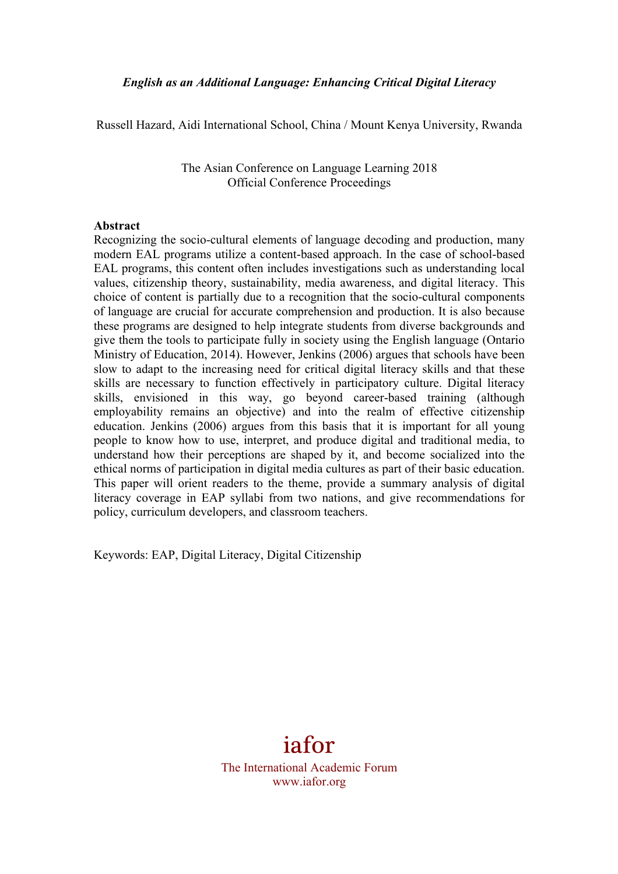*English as an Additional Language: Enhancing Critical Digital Literacy*

Russell Hazard, Aidi International School, China / Mount Kenya University, Rwanda

The Asian Conference on Language Learning 2018 Official Conference Proceedings

#### **Abstract**

Recognizing the socio-cultural elements of language decoding and production, many modern EAL programs utilize a content-based approach. In the case of school-based EAL programs, this content often includes investigations such as understanding local values, citizenship theory, sustainability, media awareness, and digital literacy. This choice of content is partially due to a recognition that the socio-cultural components of language are crucial for accurate comprehension and production. It is also because these programs are designed to help integrate students from diverse backgrounds and give them the tools to participate fully in society using the English language (Ontario Ministry of Education, 2014). However, Jenkins (2006) argues that schools have been slow to adapt to the increasing need for critical digital literacy skills and that these skills are necessary to function effectively in participatory culture. Digital literacy skills, envisioned in this way, go beyond career-based training (although employability remains an objective) and into the realm of effective citizenship education. Jenkins (2006) argues from this basis that it is important for all young people to know how to use, interpret, and produce digital and traditional media, to understand how their perceptions are shaped by it, and become socialized into the ethical norms of participation in digital media cultures as part of their basic education. This paper will orient readers to the theme, provide a summary analysis of digital literacy coverage in EAP syllabi from two nations, and give recommendations for policy, curriculum developers, and classroom teachers.

Keywords: EAP, Digital Literacy, Digital Citizenship

# iafor

The International Academic Forum www.iafor.org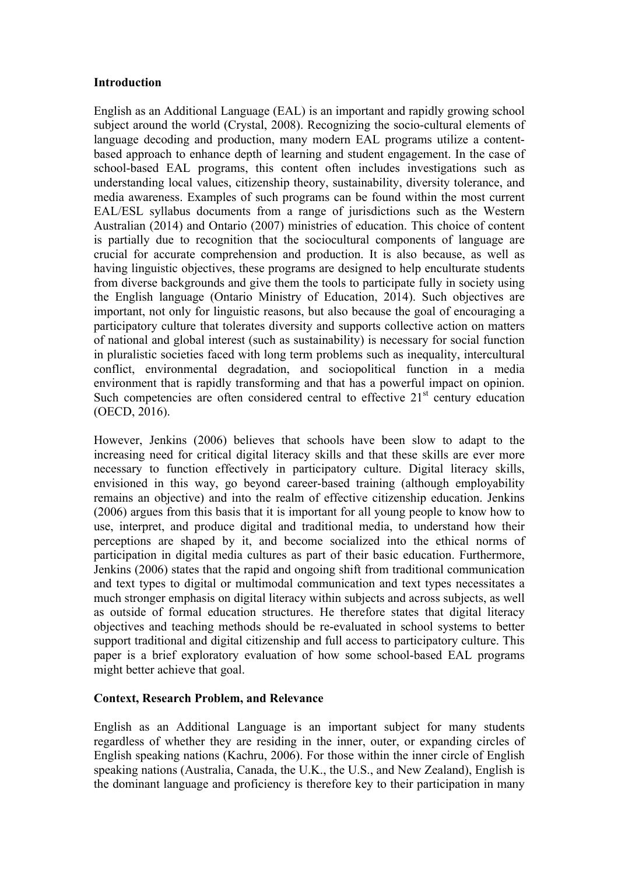#### **Introduction**

English as an Additional Language (EAL) is an important and rapidly growing school subject around the world (Crystal, 2008). Recognizing the socio-cultural elements of language decoding and production, many modern EAL programs utilize a contentbased approach to enhance depth of learning and student engagement. In the case of school-based EAL programs, this content often includes investigations such as understanding local values, citizenship theory, sustainability, diversity tolerance, and media awareness. Examples of such programs can be found within the most current EAL/ESL syllabus documents from a range of jurisdictions such as the Western Australian (2014) and Ontario (2007) ministries of education. This choice of content is partially due to recognition that the sociocultural components of language are crucial for accurate comprehension and production. It is also because, as well as having linguistic objectives, these programs are designed to help enculturate students from diverse backgrounds and give them the tools to participate fully in society using the English language (Ontario Ministry of Education, 2014). Such objectives are important, not only for linguistic reasons, but also because the goal of encouraging a participatory culture that tolerates diversity and supports collective action on matters of national and global interest (such as sustainability) is necessary for social function in pluralistic societies faced with long term problems such as inequality, intercultural conflict, environmental degradation, and sociopolitical function in a media environment that is rapidly transforming and that has a powerful impact on opinion. Such competencies are often considered central to effective  $21<sup>st</sup>$  century education (OECD, 2016).

However, Jenkins (2006) believes that schools have been slow to adapt to the increasing need for critical digital literacy skills and that these skills are ever more necessary to function effectively in participatory culture. Digital literacy skills, envisioned in this way, go beyond career-based training (although employability remains an objective) and into the realm of effective citizenship education. Jenkins (2006) argues from this basis that it is important for all young people to know how to use, interpret, and produce digital and traditional media, to understand how their perceptions are shaped by it, and become socialized into the ethical norms of participation in digital media cultures as part of their basic education. Furthermore, Jenkins (2006) states that the rapid and ongoing shift from traditional communication and text types to digital or multimodal communication and text types necessitates a much stronger emphasis on digital literacy within subjects and across subjects, as well as outside of formal education structures. He therefore states that digital literacy objectives and teaching methods should be re-evaluated in school systems to better support traditional and digital citizenship and full access to participatory culture. This paper is a brief exploratory evaluation of how some school-based EAL programs might better achieve that goal.

### **Context, Research Problem, and Relevance**

English as an Additional Language is an important subject for many students regardless of whether they are residing in the inner, outer, or expanding circles of English speaking nations (Kachru, 2006). For those within the inner circle of English speaking nations (Australia, Canada, the U.K., the U.S., and New Zealand), English is the dominant language and proficiency is therefore key to their participation in many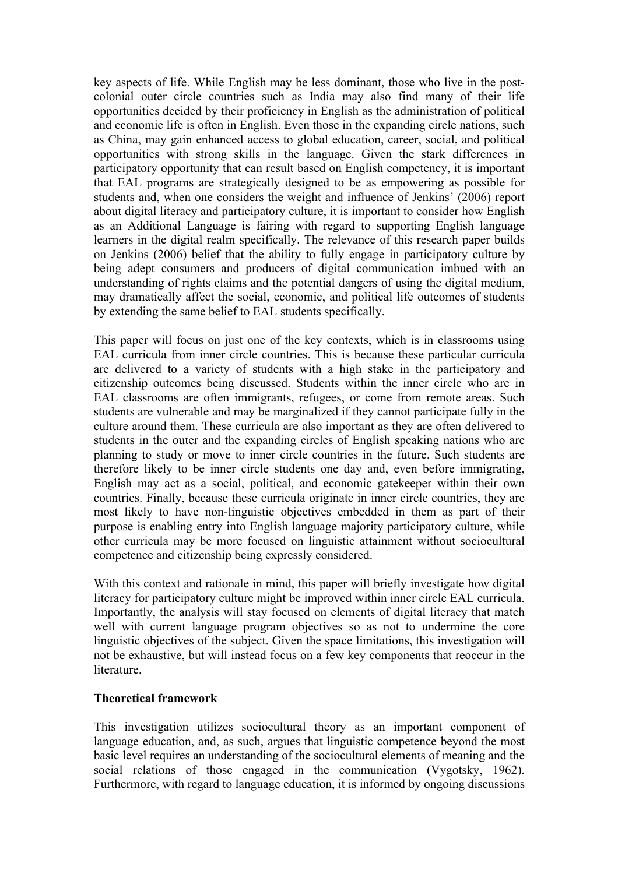key aspects of life. While English may be less dominant, those who live in the postcolonial outer circle countries such as India may also find many of their life opportunities decided by their proficiency in English as the administration of political and economic life is often in English. Even those in the expanding circle nations, such as China, may gain enhanced access to global education, career, social, and political opportunities with strong skills in the language. Given the stark differences in participatory opportunity that can result based on English competency, it is important that EAL programs are strategically designed to be as empowering as possible for students and, when one considers the weight and influence of Jenkins' (2006) report about digital literacy and participatory culture, it is important to consider how English as an Additional Language is fairing with regard to supporting English language learners in the digital realm specifically. The relevance of this research paper builds on Jenkins (2006) belief that the ability to fully engage in participatory culture by being adept consumers and producers of digital communication imbued with an understanding of rights claims and the potential dangers of using the digital medium, may dramatically affect the social, economic, and political life outcomes of students by extending the same belief to EAL students specifically.

This paper will focus on just one of the key contexts, which is in classrooms using EAL curricula from inner circle countries. This is because these particular curricula are delivered to a variety of students with a high stake in the participatory and citizenship outcomes being discussed. Students within the inner circle who are in EAL classrooms are often immigrants, refugees, or come from remote areas. Such students are vulnerable and may be marginalized if they cannot participate fully in the culture around them. These curricula are also important as they are often delivered to students in the outer and the expanding circles of English speaking nations who are planning to study or move to inner circle countries in the future. Such students are therefore likely to be inner circle students one day and, even before immigrating, English may act as a social, political, and economic gatekeeper within their own countries. Finally, because these curricula originate in inner circle countries, they are most likely to have non-linguistic objectives embedded in them as part of their purpose is enabling entry into English language majority participatory culture, while other curricula may be more focused on linguistic attainment without sociocultural competence and citizenship being expressly considered.

With this context and rationale in mind, this paper will briefly investigate how digital literacy for participatory culture might be improved within inner circle EAL curricula. Importantly, the analysis will stay focused on elements of digital literacy that match well with current language program objectives so as not to undermine the core linguistic objectives of the subject. Given the space limitations, this investigation will not be exhaustive, but will instead focus on a few key components that reoccur in the literature.

#### **Theoretical framework**

This investigation utilizes sociocultural theory as an important component of language education, and, as such, argues that linguistic competence beyond the most basic level requires an understanding of the sociocultural elements of meaning and the social relations of those engaged in the communication (Vygotsky, 1962). Furthermore, with regard to language education, it is informed by ongoing discussions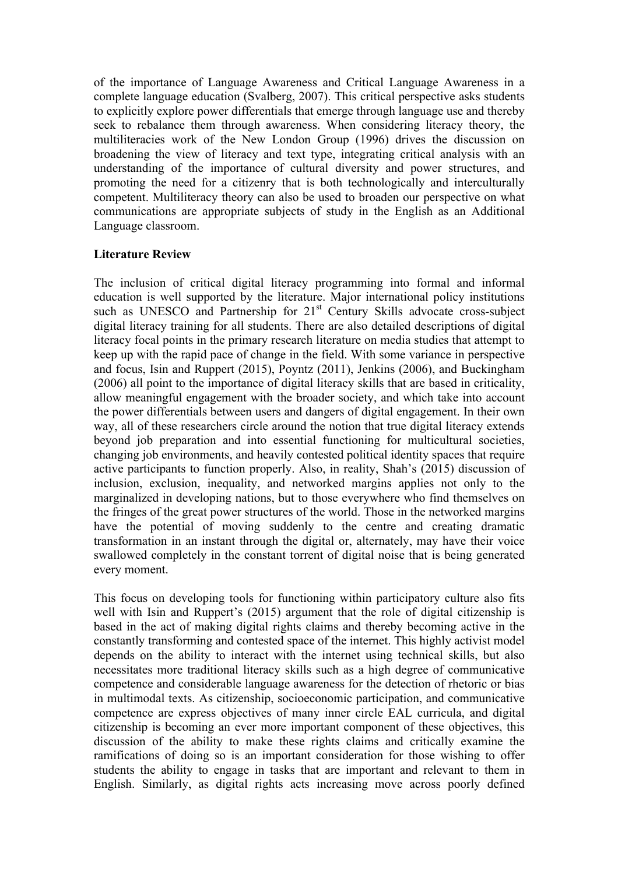of the importance of Language Awareness and Critical Language Awareness in a complete language education (Svalberg, 2007). This critical perspective asks students to explicitly explore power differentials that emerge through language use and thereby seek to rebalance them through awareness. When considering literacy theory, the multiliteracies work of the New London Group (1996) drives the discussion on broadening the view of literacy and text type, integrating critical analysis with an understanding of the importance of cultural diversity and power structures, and promoting the need for a citizenry that is both technologically and interculturally competent. Multiliteracy theory can also be used to broaden our perspective on what communications are appropriate subjects of study in the English as an Additional Language classroom.

## **Literature Review**

The inclusion of critical digital literacy programming into formal and informal education is well supported by the literature. Major international policy institutions such as UNESCO and Partnership for 21<sup>st</sup> Century Skills advocate cross-subject digital literacy training for all students. There are also detailed descriptions of digital literacy focal points in the primary research literature on media studies that attempt to keep up with the rapid pace of change in the field. With some variance in perspective and focus, Isin and Ruppert (2015), Poyntz (2011), Jenkins (2006), and Buckingham (2006) all point to the importance of digital literacy skills that are based in criticality, allow meaningful engagement with the broader society, and which take into account the power differentials between users and dangers of digital engagement. In their own way, all of these researchers circle around the notion that true digital literacy extends beyond job preparation and into essential functioning for multicultural societies, changing job environments, and heavily contested political identity spaces that require active participants to function properly. Also, in reality, Shah's (2015) discussion of inclusion, exclusion, inequality, and networked margins applies not only to the marginalized in developing nations, but to those everywhere who find themselves on the fringes of the great power structures of the world. Those in the networked margins have the potential of moving suddenly to the centre and creating dramatic transformation in an instant through the digital or, alternately, may have their voice swallowed completely in the constant torrent of digital noise that is being generated every moment.

This focus on developing tools for functioning within participatory culture also fits well with Isin and Ruppert's (2015) argument that the role of digital citizenship is based in the act of making digital rights claims and thereby becoming active in the constantly transforming and contested space of the internet. This highly activist model depends on the ability to interact with the internet using technical skills, but also necessitates more traditional literacy skills such as a high degree of communicative competence and considerable language awareness for the detection of rhetoric or bias in multimodal texts. As citizenship, socioeconomic participation, and communicative competence are express objectives of many inner circle EAL curricula, and digital citizenship is becoming an ever more important component of these objectives, this discussion of the ability to make these rights claims and critically examine the ramifications of doing so is an important consideration for those wishing to offer students the ability to engage in tasks that are important and relevant to them in English. Similarly, as digital rights acts increasing move across poorly defined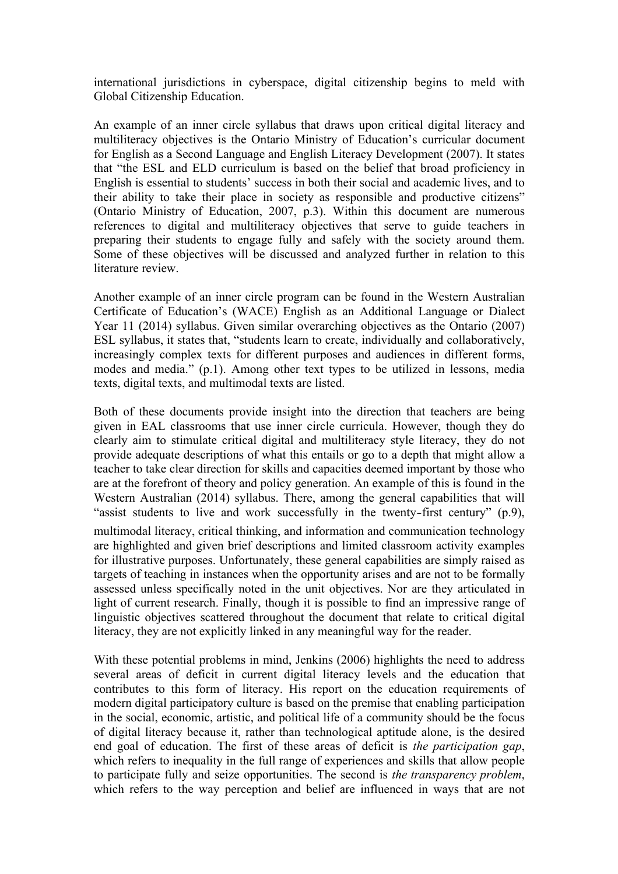international jurisdictions in cyberspace, digital citizenship begins to meld with Global Citizenship Education.

An example of an inner circle syllabus that draws upon critical digital literacy and multiliteracy objectives is the Ontario Ministry of Education's curricular document for English as a Second Language and English Literacy Development (2007). It states that "the ESL and ELD curriculum is based on the belief that broad proficiency in English is essential to students' success in both their social and academic lives, and to their ability to take their place in society as responsible and productive citizens" (Ontario Ministry of Education, 2007, p.3). Within this document are numerous references to digital and multiliteracy objectives that serve to guide teachers in preparing their students to engage fully and safely with the society around them. Some of these objectives will be discussed and analyzed further in relation to this literature review.

Another example of an inner circle program can be found in the Western Australian Certificate of Education's (WACE) English as an Additional Language or Dialect Year 11 (2014) syllabus. Given similar overarching objectives as the Ontario (2007) ESL syllabus, it states that, "students learn to create, individually and collaboratively, increasingly complex texts for different purposes and audiences in different forms, modes and media." (p.1). Among other text types to be utilized in lessons, media texts, digital texts, and multimodal texts are listed.

Both of these documents provide insight into the direction that teachers are being given in EAL classrooms that use inner circle curricula. However, though they do clearly aim to stimulate critical digital and multiliteracy style literacy, they do not provide adequate descriptions of what this entails or go to a depth that might allow a teacher to take clear direction for skills and capacities deemed important by those who are at the forefront of theory and policy generation. An example of this is found in the Western Australian (2014) syllabus. There, among the general capabilities that will "assist students to live and work successfully in the twenty‐first century" (p.9), multimodal literacy, critical thinking, and information and communication technology are highlighted and given brief descriptions and limited classroom activity examples for illustrative purposes. Unfortunately, these general capabilities are simply raised as targets of teaching in instances when the opportunity arises and are not to be formally assessed unless specifically noted in the unit objectives. Nor are they articulated in light of current research. Finally, though it is possible to find an impressive range of linguistic objectives scattered throughout the document that relate to critical digital literacy, they are not explicitly linked in any meaningful way for the reader.

With these potential problems in mind, Jenkins (2006) highlights the need to address several areas of deficit in current digital literacy levels and the education that contributes to this form of literacy. His report on the education requirements of modern digital participatory culture is based on the premise that enabling participation in the social, economic, artistic, and political life of a community should be the focus of digital literacy because it, rather than technological aptitude alone, is the desired end goal of education. The first of these areas of deficit is *the participation gap*, which refers to inequality in the full range of experiences and skills that allow people to participate fully and seize opportunities. The second is *the transparency problem*, which refers to the way perception and belief are influenced in ways that are not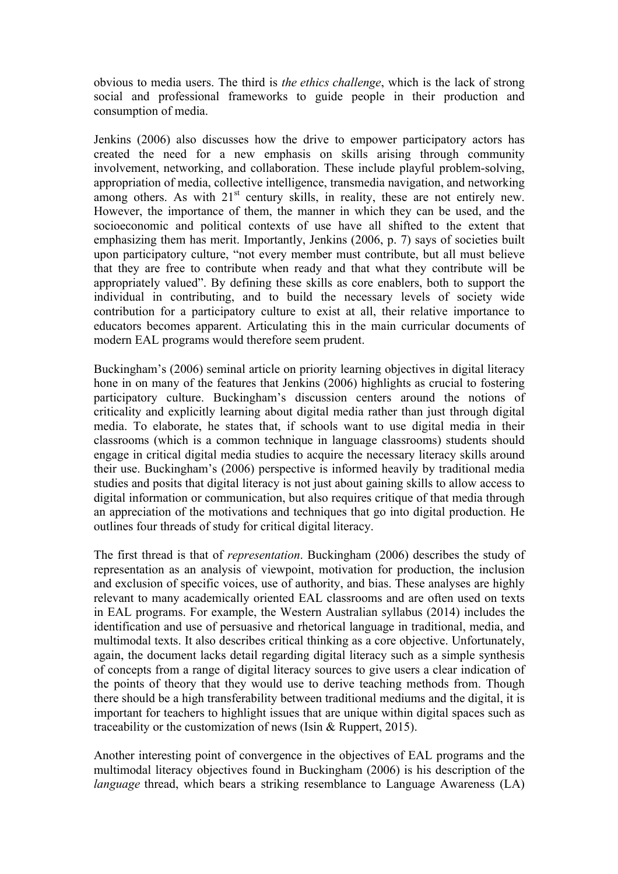obvious to media users. The third is *the ethics challenge*, which is the lack of strong social and professional frameworks to guide people in their production and consumption of media.

Jenkins (2006) also discusses how the drive to empower participatory actors has created the need for a new emphasis on skills arising through community involvement, networking, and collaboration. These include playful problem-solving, appropriation of media, collective intelligence, transmedia navigation, and networking among others. As with  $21<sup>st</sup>$  century skills, in reality, these are not entirely new. However, the importance of them, the manner in which they can be used, and the socioeconomic and political contexts of use have all shifted to the extent that emphasizing them has merit. Importantly, Jenkins (2006, p. 7) says of societies built upon participatory culture, "not every member must contribute, but all must believe that they are free to contribute when ready and that what they contribute will be appropriately valued". By defining these skills as core enablers, both to support the individual in contributing, and to build the necessary levels of society wide contribution for a participatory culture to exist at all, their relative importance to educators becomes apparent. Articulating this in the main curricular documents of modern EAL programs would therefore seem prudent.

Buckingham's (2006) seminal article on priority learning objectives in digital literacy hone in on many of the features that Jenkins (2006) highlights as crucial to fostering participatory culture. Buckingham's discussion centers around the notions of criticality and explicitly learning about digital media rather than just through digital media. To elaborate, he states that, if schools want to use digital media in their classrooms (which is a common technique in language classrooms) students should engage in critical digital media studies to acquire the necessary literacy skills around their use. Buckingham's (2006) perspective is informed heavily by traditional media studies and posits that digital literacy is not just about gaining skills to allow access to digital information or communication, but also requires critique of that media through an appreciation of the motivations and techniques that go into digital production. He outlines four threads of study for critical digital literacy.

The first thread is that of *representation*. Buckingham (2006) describes the study of representation as an analysis of viewpoint, motivation for production, the inclusion and exclusion of specific voices, use of authority, and bias. These analyses are highly relevant to many academically oriented EAL classrooms and are often used on texts in EAL programs. For example, the Western Australian syllabus (2014) includes the identification and use of persuasive and rhetorical language in traditional, media, and multimodal texts. It also describes critical thinking as a core objective. Unfortunately, again, the document lacks detail regarding digital literacy such as a simple synthesis of concepts from a range of digital literacy sources to give users a clear indication of the points of theory that they would use to derive teaching methods from. Though there should be a high transferability between traditional mediums and the digital, it is important for teachers to highlight issues that are unique within digital spaces such as traceability or the customization of news (Isin & Ruppert, 2015).

Another interesting point of convergence in the objectives of EAL programs and the multimodal literacy objectives found in Buckingham (2006) is his description of the *language* thread, which bears a striking resemblance to Language Awareness (LA)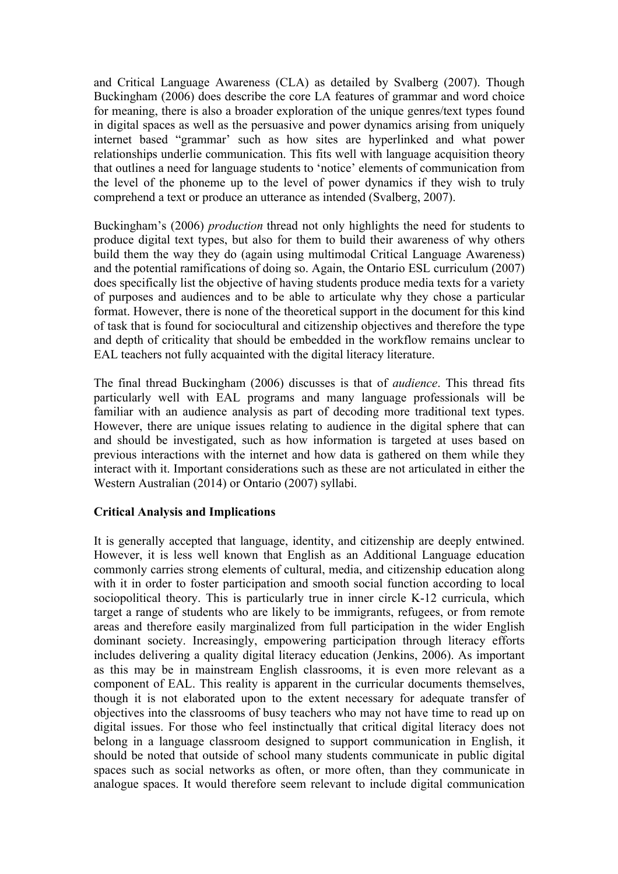and Critical Language Awareness (CLA) as detailed by Svalberg (2007). Though Buckingham (2006) does describe the core LA features of grammar and word choice for meaning, there is also a broader exploration of the unique genres/text types found in digital spaces as well as the persuasive and power dynamics arising from uniquely internet based "grammar' such as how sites are hyperlinked and what power relationships underlie communication. This fits well with language acquisition theory that outlines a need for language students to 'notice' elements of communication from the level of the phoneme up to the level of power dynamics if they wish to truly comprehend a text or produce an utterance as intended (Svalberg, 2007).

Buckingham's (2006) *production* thread not only highlights the need for students to produce digital text types, but also for them to build their awareness of why others build them the way they do (again using multimodal Critical Language Awareness) and the potential ramifications of doing so. Again, the Ontario ESL curriculum (2007) does specifically list the objective of having students produce media texts for a variety of purposes and audiences and to be able to articulate why they chose a particular format. However, there is none of the theoretical support in the document for this kind of task that is found for sociocultural and citizenship objectives and therefore the type and depth of criticality that should be embedded in the workflow remains unclear to EAL teachers not fully acquainted with the digital literacy literature.

The final thread Buckingham (2006) discusses is that of *audience*. This thread fits particularly well with EAL programs and many language professionals will be familiar with an audience analysis as part of decoding more traditional text types. However, there are unique issues relating to audience in the digital sphere that can and should be investigated, such as how information is targeted at uses based on previous interactions with the internet and how data is gathered on them while they interact with it. Important considerations such as these are not articulated in either the Western Australian (2014) or Ontario (2007) syllabi.

# **Critical Analysis and Implications**

It is generally accepted that language, identity, and citizenship are deeply entwined. However, it is less well known that English as an Additional Language education commonly carries strong elements of cultural, media, and citizenship education along with it in order to foster participation and smooth social function according to local sociopolitical theory. This is particularly true in inner circle K-12 curricula, which target a range of students who are likely to be immigrants, refugees, or from remote areas and therefore easily marginalized from full participation in the wider English dominant society. Increasingly, empowering participation through literacy efforts includes delivering a quality digital literacy education (Jenkins, 2006). As important as this may be in mainstream English classrooms, it is even more relevant as a component of EAL. This reality is apparent in the curricular documents themselves, though it is not elaborated upon to the extent necessary for adequate transfer of objectives into the classrooms of busy teachers who may not have time to read up on digital issues. For those who feel instinctually that critical digital literacy does not belong in a language classroom designed to support communication in English, it should be noted that outside of school many students communicate in public digital spaces such as social networks as often, or more often, than they communicate in analogue spaces. It would therefore seem relevant to include digital communication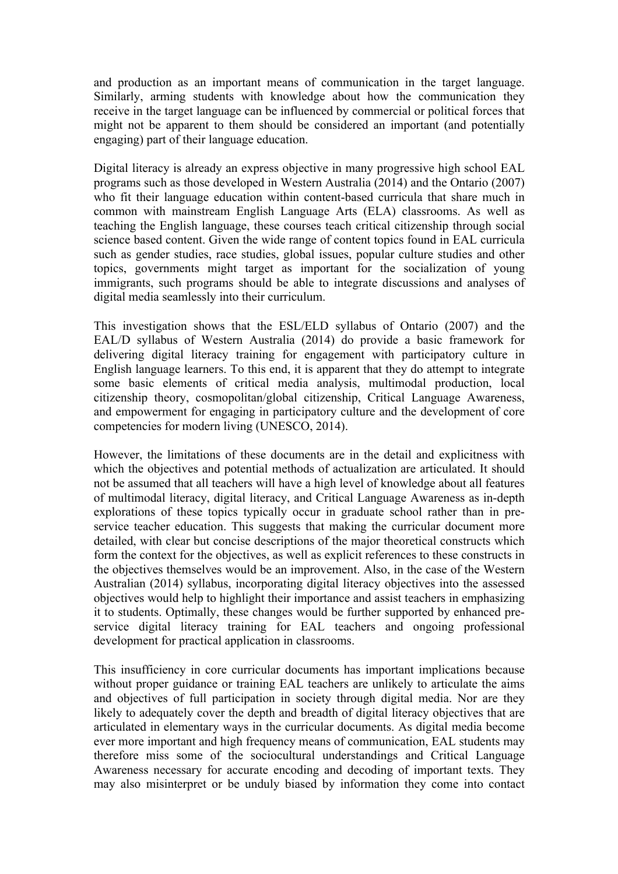and production as an important means of communication in the target language. Similarly, arming students with knowledge about how the communication they receive in the target language can be influenced by commercial or political forces that might not be apparent to them should be considered an important (and potentially engaging) part of their language education.

Digital literacy is already an express objective in many progressive high school EAL programs such as those developed in Western Australia (2014) and the Ontario (2007) who fit their language education within content-based curricula that share much in common with mainstream English Language Arts (ELA) classrooms. As well as teaching the English language, these courses teach critical citizenship through social science based content. Given the wide range of content topics found in EAL curricula such as gender studies, race studies, global issues, popular culture studies and other topics, governments might target as important for the socialization of young immigrants, such programs should be able to integrate discussions and analyses of digital media seamlessly into their curriculum.

This investigation shows that the ESL/ELD syllabus of Ontario (2007) and the EAL/D syllabus of Western Australia (2014) do provide a basic framework for delivering digital literacy training for engagement with participatory culture in English language learners. To this end, it is apparent that they do attempt to integrate some basic elements of critical media analysis, multimodal production, local citizenship theory, cosmopolitan/global citizenship, Critical Language Awareness, and empowerment for engaging in participatory culture and the development of core competencies for modern living (UNESCO, 2014).

However, the limitations of these documents are in the detail and explicitness with which the objectives and potential methods of actualization are articulated. It should not be assumed that all teachers will have a high level of knowledge about all features of multimodal literacy, digital literacy, and Critical Language Awareness as in-depth explorations of these topics typically occur in graduate school rather than in preservice teacher education. This suggests that making the curricular document more detailed, with clear but concise descriptions of the major theoretical constructs which form the context for the objectives, as well as explicit references to these constructs in the objectives themselves would be an improvement. Also, in the case of the Western Australian (2014) syllabus, incorporating digital literacy objectives into the assessed objectives would help to highlight their importance and assist teachers in emphasizing it to students. Optimally, these changes would be further supported by enhanced preservice digital literacy training for EAL teachers and ongoing professional development for practical application in classrooms.

This insufficiency in core curricular documents has important implications because without proper guidance or training EAL teachers are unlikely to articulate the aims and objectives of full participation in society through digital media. Nor are they likely to adequately cover the depth and breadth of digital literacy objectives that are articulated in elementary ways in the curricular documents. As digital media become ever more important and high frequency means of communication, EAL students may therefore miss some of the sociocultural understandings and Critical Language Awareness necessary for accurate encoding and decoding of important texts. They may also misinterpret or be unduly biased by information they come into contact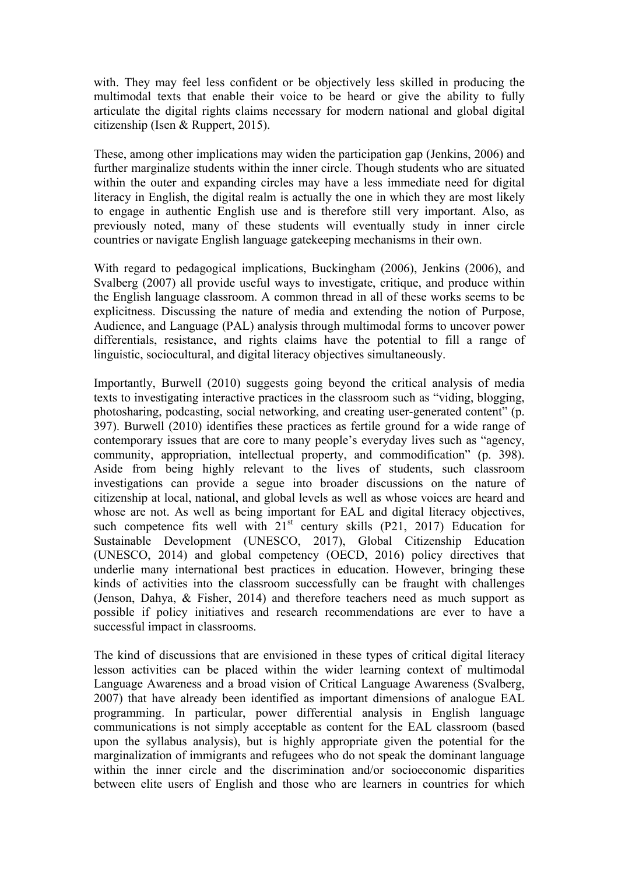with. They may feel less confident or be objectively less skilled in producing the multimodal texts that enable their voice to be heard or give the ability to fully articulate the digital rights claims necessary for modern national and global digital citizenship (Isen & Ruppert, 2015).

These, among other implications may widen the participation gap (Jenkins, 2006) and further marginalize students within the inner circle. Though students who are situated within the outer and expanding circles may have a less immediate need for digital literacy in English, the digital realm is actually the one in which they are most likely to engage in authentic English use and is therefore still very important. Also, as previously noted, many of these students will eventually study in inner circle countries or navigate English language gatekeeping mechanisms in their own.

With regard to pedagogical implications, Buckingham (2006), Jenkins (2006), and Svalberg (2007) all provide useful ways to investigate, critique, and produce within the English language classroom. A common thread in all of these works seems to be explicitness. Discussing the nature of media and extending the notion of Purpose, Audience, and Language (PAL) analysis through multimodal forms to uncover power differentials, resistance, and rights claims have the potential to fill a range of linguistic, sociocultural, and digital literacy objectives simultaneously.

Importantly, Burwell (2010) suggests going beyond the critical analysis of media texts to investigating interactive practices in the classroom such as "viding, blogging, photosharing, podcasting, social networking, and creating user-generated content" (p. 397). Burwell (2010) identifies these practices as fertile ground for a wide range of contemporary issues that are core to many people's everyday lives such as "agency, community, appropriation, intellectual property, and commodification" (p. 398). Aside from being highly relevant to the lives of students, such classroom investigations can provide a segue into broader discussions on the nature of citizenship at local, national, and global levels as well as whose voices are heard and whose are not. As well as being important for EAL and digital literacy objectives, such competence fits well with  $21<sup>st</sup>$  century skills (P21, 2017) Education for Sustainable Development (UNESCO, 2017), Global Citizenship Education (UNESCO, 2014) and global competency (OECD, 2016) policy directives that underlie many international best practices in education. However, bringing these kinds of activities into the classroom successfully can be fraught with challenges (Jenson, Dahya, & Fisher, 2014) and therefore teachers need as much support as possible if policy initiatives and research recommendations are ever to have a successful impact in classrooms.

The kind of discussions that are envisioned in these types of critical digital literacy lesson activities can be placed within the wider learning context of multimodal Language Awareness and a broad vision of Critical Language Awareness (Svalberg, 2007) that have already been identified as important dimensions of analogue EAL programming. In particular, power differential analysis in English language communications is not simply acceptable as content for the EAL classroom (based upon the syllabus analysis), but is highly appropriate given the potential for the marginalization of immigrants and refugees who do not speak the dominant language within the inner circle and the discrimination and/or socioeconomic disparities between elite users of English and those who are learners in countries for which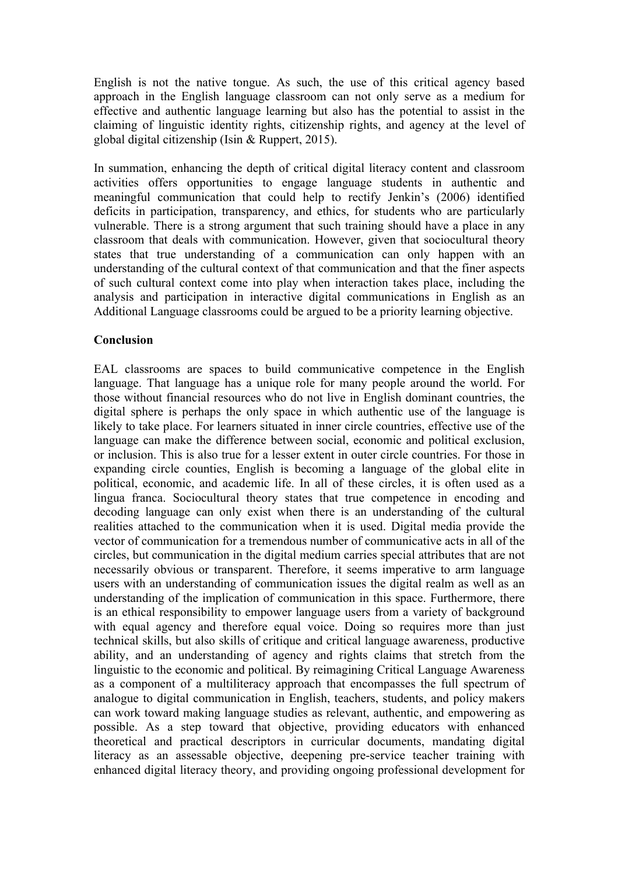English is not the native tongue. As such, the use of this critical agency based approach in the English language classroom can not only serve as a medium for effective and authentic language learning but also has the potential to assist in the claiming of linguistic identity rights, citizenship rights, and agency at the level of global digital citizenship (Isin & Ruppert, 2015).

In summation, enhancing the depth of critical digital literacy content and classroom activities offers opportunities to engage language students in authentic and meaningful communication that could help to rectify Jenkin's (2006) identified deficits in participation, transparency, and ethics, for students who are particularly vulnerable. There is a strong argument that such training should have a place in any classroom that deals with communication. However, given that sociocultural theory states that true understanding of a communication can only happen with an understanding of the cultural context of that communication and that the finer aspects of such cultural context come into play when interaction takes place, including the analysis and participation in interactive digital communications in English as an Additional Language classrooms could be argued to be a priority learning objective.

#### **Conclusion**

EAL classrooms are spaces to build communicative competence in the English language. That language has a unique role for many people around the world. For those without financial resources who do not live in English dominant countries, the digital sphere is perhaps the only space in which authentic use of the language is likely to take place. For learners situated in inner circle countries, effective use of the language can make the difference between social, economic and political exclusion, or inclusion. This is also true for a lesser extent in outer circle countries. For those in expanding circle counties, English is becoming a language of the global elite in political, economic, and academic life. In all of these circles, it is often used as a lingua franca. Sociocultural theory states that true competence in encoding and decoding language can only exist when there is an understanding of the cultural realities attached to the communication when it is used. Digital media provide the vector of communication for a tremendous number of communicative acts in all of the circles, but communication in the digital medium carries special attributes that are not necessarily obvious or transparent. Therefore, it seems imperative to arm language users with an understanding of communication issues the digital realm as well as an understanding of the implication of communication in this space. Furthermore, there is an ethical responsibility to empower language users from a variety of background with equal agency and therefore equal voice. Doing so requires more than just technical skills, but also skills of critique and critical language awareness, productive ability, and an understanding of agency and rights claims that stretch from the linguistic to the economic and political. By reimagining Critical Language Awareness as a component of a multiliteracy approach that encompasses the full spectrum of analogue to digital communication in English, teachers, students, and policy makers can work toward making language studies as relevant, authentic, and empowering as possible. As a step toward that objective, providing educators with enhanced theoretical and practical descriptors in curricular documents, mandating digital literacy as an assessable objective, deepening pre-service teacher training with enhanced digital literacy theory, and providing ongoing professional development for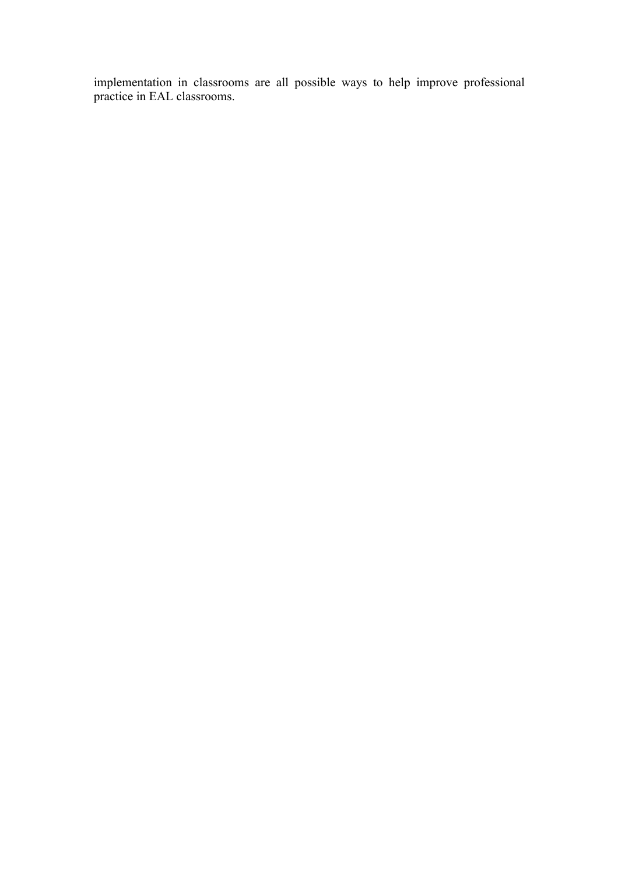implementation in classrooms are all possible ways to help improve professional practice in EAL classrooms.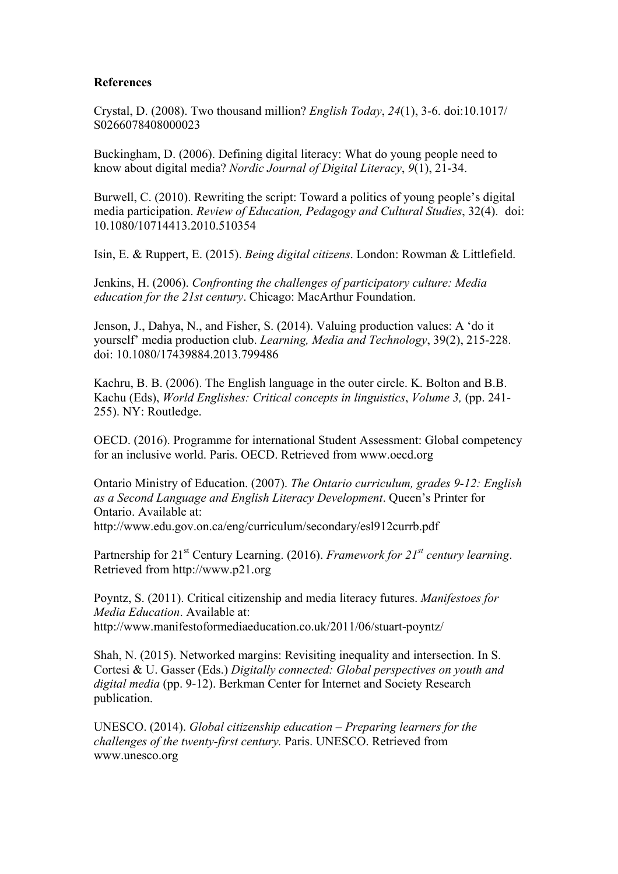#### **References**

Crystal, D. (2008). Two thousand million? *English Today*, *24*(1), 3-6. doi:10.1017/ S0266078408000023

Buckingham, D. (2006). Defining digital literacy: What do young people need to know about digital media? *Nordic Journal of Digital Literacy*, *9*(1), 21-34.

Burwell, C. (2010). Rewriting the script: Toward a politics of young people's digital media participation. *Review of Education, Pedagogy and Cultural Studies*, 32(4). doi: 10.1080/10714413.2010.510354

Isin, E. & Ruppert, E. (2015). *Being digital citizens*. London: Rowman & Littlefield.

Jenkins, H. (2006). *Confronting the challenges of participatory culture: Media education for the 21st century*. Chicago: MacArthur Foundation.

Jenson, J., Dahya, N., and Fisher, S. (2014). Valuing production values: A 'do it yourself' media production club. *Learning, Media and Technology*, 39(2), 215-228. doi: 10.1080/17439884.2013.799486

Kachru, B. B. (2006). The English language in the outer circle. K. Bolton and B.B. Kachu (Eds), *World Englishes: Critical concepts in linguistics*, *Volume 3,* (pp. 241- 255). NY: Routledge.

OECD. (2016). Programme for international Student Assessment: Global competency for an inclusive world. Paris. OECD. Retrieved from www.oecd.org

Ontario Ministry of Education. (2007). *The Ontario curriculum, grades 9-12: English as a Second Language and English Literacy Development*. Queen's Printer for Ontario. Available at: http://www.edu.gov.on.ca/eng/curriculum/secondary/esl912currb.pdf

Partnership for 21<sup>st</sup> Century Learning. (2016). *Framework for 21<sup>st</sup> century learning*. Retrieved from http://www.p21.org

Poyntz, S. (2011). Critical citizenship and media literacy futures. *Manifestoes for Media Education*. Available at: http://www.manifestoformediaeducation.co.uk/2011/06/stuart-poyntz/

Shah, N. (2015). Networked margins: Revisiting inequality and intersection. In S. Cortesi & U. Gasser (Eds.) *Digitally connected: Global perspectives on youth and digital media* (pp. 9-12). Berkman Center for Internet and Society Research publication.

UNESCO. (2014). *Global citizenship education – Preparing learners for the challenges of the twenty-first century.* Paris. UNESCO. Retrieved from www.unesco.org